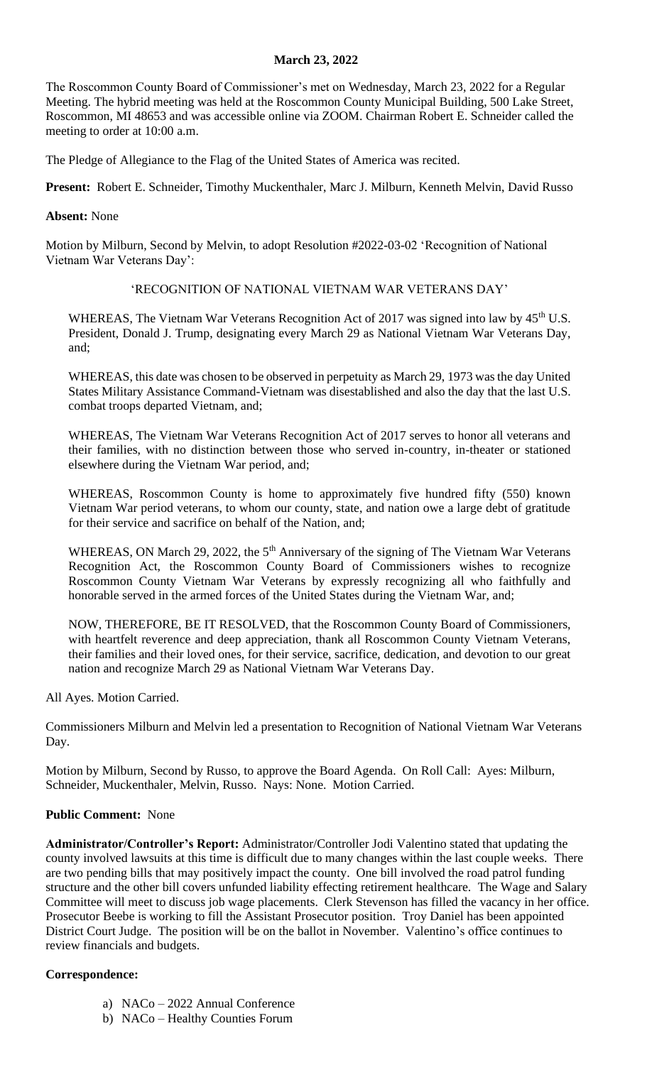### **March 23, 2022**

The Roscommon County Board of Commissioner's met on Wednesday, March 23, 2022 for a Regular Meeting. The hybrid meeting was held at the Roscommon County Municipal Building, 500 Lake Street, Roscommon, MI 48653 and was accessible online via ZOOM. Chairman Robert E. Schneider called the meeting to order at 10:00 a.m.

The Pledge of Allegiance to the Flag of the United States of America was recited.

**Present:** Robert E. Schneider, Timothy Muckenthaler, Marc J. Milburn, Kenneth Melvin, David Russo

### **Absent:** None

Motion by Milburn, Second by Melvin, to adopt Resolution #2022-03-02 'Recognition of National Vietnam War Veterans Day':

### 'RECOGNITION OF NATIONAL VIETNAM WAR VETERANS DAY'

WHEREAS, The Vietnam War Veterans Recognition Act of 2017 was signed into law by 45<sup>th</sup> U.S. President, Donald J. Trump, designating every March 29 as National Vietnam War Veterans Day, and;

WHEREAS, this date was chosen to be observed in perpetuity as March 29, 1973 was the day United States Military Assistance Command-Vietnam was disestablished and also the day that the last U.S. combat troops departed Vietnam, and;

WHEREAS, The Vietnam War Veterans Recognition Act of 2017 serves to honor all veterans and their families, with no distinction between those who served in-country, in-theater or stationed elsewhere during the Vietnam War period, and;

WHEREAS, Roscommon County is home to approximately five hundred fifty (550) known Vietnam War period veterans, to whom our county, state, and nation owe a large debt of gratitude for their service and sacrifice on behalf of the Nation, and;

WHEREAS, ON March 29, 2022, the  $5<sup>th</sup>$  Anniversary of the signing of The Vietnam War Veterans Recognition Act, the Roscommon County Board of Commissioners wishes to recognize Roscommon County Vietnam War Veterans by expressly recognizing all who faithfully and honorable served in the armed forces of the United States during the Vietnam War, and;

NOW, THEREFORE, BE IT RESOLVED, that the Roscommon County Board of Commissioners, with heartfelt reverence and deep appreciation, thank all Roscommon County Vietnam Veterans, their families and their loved ones, for their service, sacrifice, dedication, and devotion to our great nation and recognize March 29 as National Vietnam War Veterans Day.

All Ayes. Motion Carried.

Commissioners Milburn and Melvin led a presentation to Recognition of National Vietnam War Veterans Day.

Motion by Milburn, Second by Russo, to approve the Board Agenda. On Roll Call: Ayes: Milburn, Schneider, Muckenthaler, Melvin, Russo. Nays: None. Motion Carried.

# **Public Comment:** None

**Administrator/Controller's Report:** Administrator/Controller Jodi Valentino stated that updating the county involved lawsuits at this time is difficult due to many changes within the last couple weeks. There are two pending bills that may positively impact the county. One bill involved the road patrol funding structure and the other bill covers unfunded liability effecting retirement healthcare. The Wage and Salary Committee will meet to discuss job wage placements. Clerk Stevenson has filled the vacancy in her office. Prosecutor Beebe is working to fill the Assistant Prosecutor position. Troy Daniel has been appointed District Court Judge. The position will be on the ballot in November. Valentino's office continues to review financials and budgets.

# **Correspondence:**

- a) NACo 2022 Annual Conference
- b) NACo Healthy Counties Forum